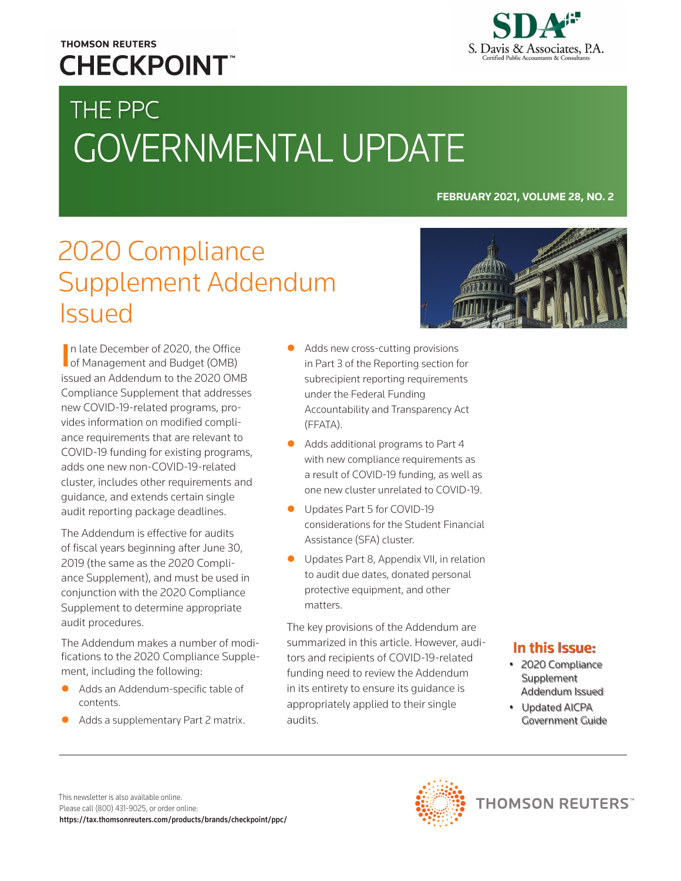## **THOMSON REUTERS CHECKPOINT**



# THE PPC GOVERNMENTAL UPDATE

#### **FEBRUARY 2021, VOLUME 28, NO. 2**

## 2020 Compliance Supplement Addendum Issued

In late December of 2020, the Office<br>
of Management and Budget (OMB) of Management and Budget (OMB) issued an Addendum to the 2020 OMB Compliance Supplement that addresses new COVID-19-related programs, provides information on modified compliance requirements that are relevant to COVID-19 funding for existing programs, adds one new non-COVID-19-related cluster, includes other requirements and guidance, and extends certain single audit reporting package deadlines.

The Addendum is effective for audits of fiscal years beginning after June 30, 2019 (the same as the 2020 Compliance Supplement), and must be used in conjunction with the 2020 Compliance Supplement to determine appropriate audit procedures.

The Addendum makes a number of modifications to the 2020 Compliance Supplement, including the following:

- Adds an Addendum-specific table of contents.
- Adds a supplementary Part 2 matrix.
- Adds new cross-cutting provisions in Part 3 of the Reporting section for subrecipient reporting requirements under the Federal Funding Accountability and Transparency Act (FFATA).
- Adds additional programs to Part 4 with new compliance requirements as a result of COVID-19 funding, as well as one new cluster unrelated to COVID-19.
- Updates Part 5 for COVID-19 considerations for the Student Financial Assistance (SFA) cluster.
- Updates Part 8, Appendix VII, in relation to audit due dates, donated personal protective equipment, and other matters.

The key provisions of the Addendum are summarized in this article. However, auditors and recipients of COVID-19-related funding need to review the Addendum in its entirety to ensure its guidance is appropriately applied to their single audits.



### In this Issue:

- 2020 Compliance Supplement Addendum Issued
- Updated AICPA Government Guide

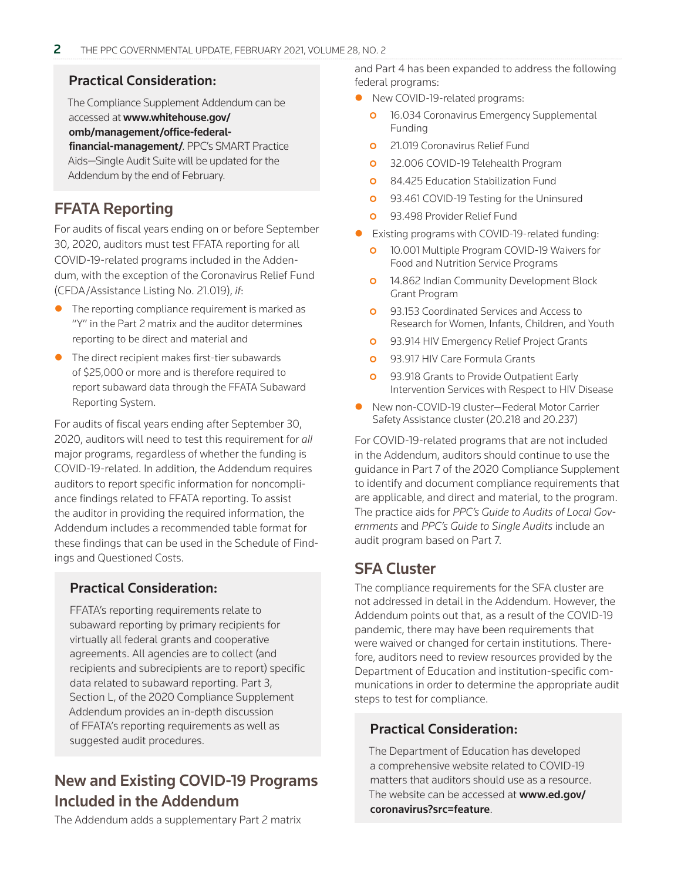#### Practical Consideration:

The Compliance Supplement Addendum can be accessed at www.whitehouse.gov/ [omb/management/office-federal](https://www.whitehouse.gov/omb/management/office-federal-financial-management/)financial-management/. PPC's SMART Practice Aids—Single Audit Suite will be updated for the Addendum by the end of February.

## FFATA Reporting

For audits of fiscal years ending on or before September 30, 2020, auditors must test FFATA reporting for all COVID-19-related programs included in the Addendum, with the exception of the Coronavirus Relief Fund (CFDA/Assistance Listing No. 21.019), *if*:

- The reporting compliance requirement is marked as "Y" in the Part 2 matrix and the auditor determines reporting to be direct and material and
- $\bullet$  The direct recipient makes first-tier subawards of \$25,000 or more and is therefore required to report subaward data through the FFATA Subaward Reporting System.

For audits of fiscal years ending after September 30, 2020, auditors will need to test this requirement for *all* major programs, regardless of whether the funding is COVID-19-related. In addition, the Addendum requires auditors to report specific information for noncompliance findings related to FFATA reporting. To assist the auditor in providing the required information, the Addendum includes a recommended table format for these findings that can be used in the Schedule of Findings and Questioned Costs.

#### Practical Consideration:

FFATA's reporting requirements relate to subaward reporting by primary recipients for virtually all federal grants and cooperative agreements. All agencies are to collect (and recipients and subrecipients are to report) specific data related to subaward reporting. Part 3, Section L, of the 2020 Compliance Supplement Addendum provides an in-depth discussion of FFATA's reporting requirements as well as suggested audit procedures.

## New and Existing COVID-19 Programs Included in the Addendum

The Addendum adds a supplementary Part 2 matrix

and Part 4 has been expanded to address the following federal programs:

- New COVID-19-related programs:
	- **o** 16.034 Coronavirus Emergency Supplemental Funding
	- **o** 21.019 Coronavirus Relief Fund
	- **o** 32.006 COVID-19 Telehealth Program
	- **0** 84.425 Education Stabilization Fund
	- **0** 93.461 COVID-19 Testing for the Uninsured
	- **0** 93.498 Provider Relief Fund
- Existing programs with COVID-19-related funding:
	- **o** 10.001 Multiple Program COVID-19 Waivers for Food and Nutrition Service Programs
	- **o** 14.862 Indian Community Development Block Grant Program
	- **o** 93.153 Coordinated Services and Access to Research for Women, Infants, Children, and Youth
	- **o** 93.914 HIV Emergency Relief Project Grants
	- **o** 93.917 HIV Care Formula Grants
	- **0** 93.918 Grants to Provide Outpatient Early Intervention Services with Respect to HIV Disease
- New non-COVID-19 cluster–Federal Motor Carrier Safety Assistance cluster (20.218 and 20.237)

For COVID-19-related programs that are not included in the Addendum, auditors should continue to use the guidance in Part 7 of the 2020 Compliance Supplement to identify and document compliance requirements that are applicable, and direct and material, to the program. The practice aids for *PPC's Guide to Audits of Local Governments* and *PPC's Guide to Single Audits* include an audit program based on Part 7.

## SFA Cluster

The compliance requirements for the SFA cluster are not addressed in detail in the Addendum. However, the Addendum points out that, as a result of the COVID-19 pandemic, there may have been requirements that were waived or changed for certain institutions. Therefore, auditors need to review resources provided by the Department of Education and institution-specific communications in order to determine the appropriate audit steps to test for compliance.

#### Practical Consideration:

The Department of Education has developed a comprehensive website related to COVID-19 matters that auditors should use as a resource. [The website can be accessed at](https://www.ed.gov/coronavirus?src=feature) www.ed.gov/ coronavirus?src=feature.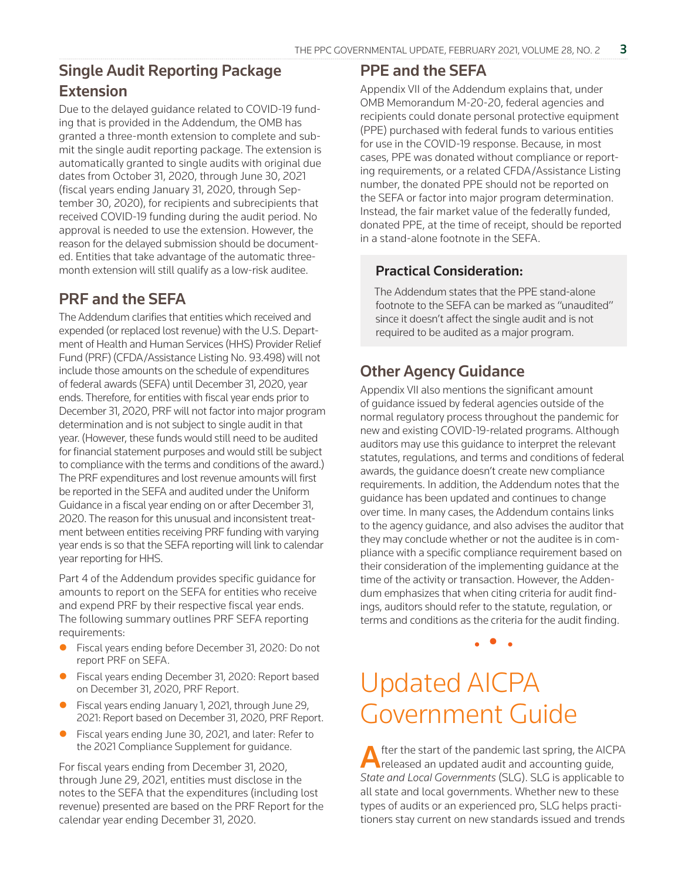## Single Audit Reporting Package **Extension**

Due to the delayed guidance related to COVID-19 funding that is provided in the Addendum, the OMB has granted a three-month extension to complete and submit the single audit reporting package. The extension is automatically granted to single audits with original due dates from October 31, 2020, through June 30, 2021 (fiscal years ending January 31, 2020, through September 30, 2020), for recipients and subrecipients that received COVID-19 funding during the audit period. No approval is needed to use the extension. However, the reason for the delayed submission should be documented. Entities that take advantage of the automatic threemonth extension will still qualify as a low-risk auditee.

## PRF and the SEFA

The Addendum clarifies that entities which received and expended (or replaced lost revenue) with the U.S. Department of Health and Human Services (HHS) Provider Relief Fund (PRF) (CFDA/Assistance Listing No. 93.498) will not include those amounts on the schedule of expenditures of federal awards (SEFA) until December 31, 2020, year ends. Therefore, for entities with fiscal year ends prior to December 31, 2020, PRF will not factor into major program determination and is not subject to single audit in that year. (However, these funds would still need to be audited for financial statement purposes and would still be subject to compliance with the terms and conditions of the award.) The PRF expenditures and lost revenue amounts will first be reported in the SEFA and audited under the Uniform Guidance in a fiscal year ending on or after December 31, 2020. The reason for this unusual and inconsistent treatment between entities receiving PRF funding with varying year ends is so that the SEFA reporting will link to calendar year reporting for HHS.

Part 4 of the Addendum provides specific guidance for amounts to report on the SEFA for entities who receive and expend PRF by their respective fiscal year ends. The following summary outlines PRF SEFA reporting requirements:

- Fiscal years ending before December 31, 2020: Do not report PRF on SEFA.
- Fiscal years ending December 31, 2020: Report based on December 31, 2020, PRF Report.
- Fiscal years ending January 1, 2021, through June 29, 2021: Report based on December 31, 2020, PRF Report.
- Fiscal years ending June 30, 2021, and later: Refer to the 2021 Compliance Supplement for guidance.

For fiscal years ending from December 31, 2020, through June 29, 2021, entities must disclose in the notes to the SEFA that the expenditures (including lost revenue) presented are based on the PRF Report for the calendar year ending December 31, 2020.

#### PPE and the SEFA

Appendix VII of the Addendum explains that, under OMB Memorandum M-20-20, federal agencies and recipients could donate personal protective equipment (PPE) purchased with federal funds to various entities for use in the COVID-19 response. Because, in most cases, PPE was donated without compliance or reporting requirements, or a related CFDA/Assistance Listing number, the donated PPE should not be reported on the SEFA or factor into major program determination. Instead, the fair market value of the federally funded, donated PPE, at the time of receipt, should be reported in a stand-alone footnote in the SEFA.

#### Practical Consideration:

The Addendum states that the PPE stand-alone footnote to the SEFA can be marked as "unaudited" since it doesn't affect the single audit and is not required to be audited as a major program.

## Other Agency Guidance

Appendix VII also mentions the significant amount of guidance issued by federal agencies outside of the normal regulatory process throughout the pandemic for new and existing COVID-19-related programs. Although auditors may use this guidance to interpret the relevant statutes, regulations, and terms and conditions of federal awards, the guidance doesn't create new compliance requirements. In addition, the Addendum notes that the guidance has been updated and continues to change over time. In many cases, the Addendum contains links to the agency guidance, and also advises the auditor that they may conclude whether or not the auditee is in compliance with a specific compliance requirement based on their consideration of the implementing guidance at the time of the activity or transaction. However, the Addendum emphasizes that when citing criteria for audit findings, auditors should refer to the statute, regulation, or terms and conditions as the criteria for the audit finding.

• • •

## Updated AICPA Government Guide

After the start of the pandemic last spring, the AICPA released an updated audit and accounting guide, *State and Local Governments* (SLG). SLG is applicable to all state and local governments. Whether new to these types of audits or an experienced pro, SLG helps practitioners stay current on new standards issued and trends